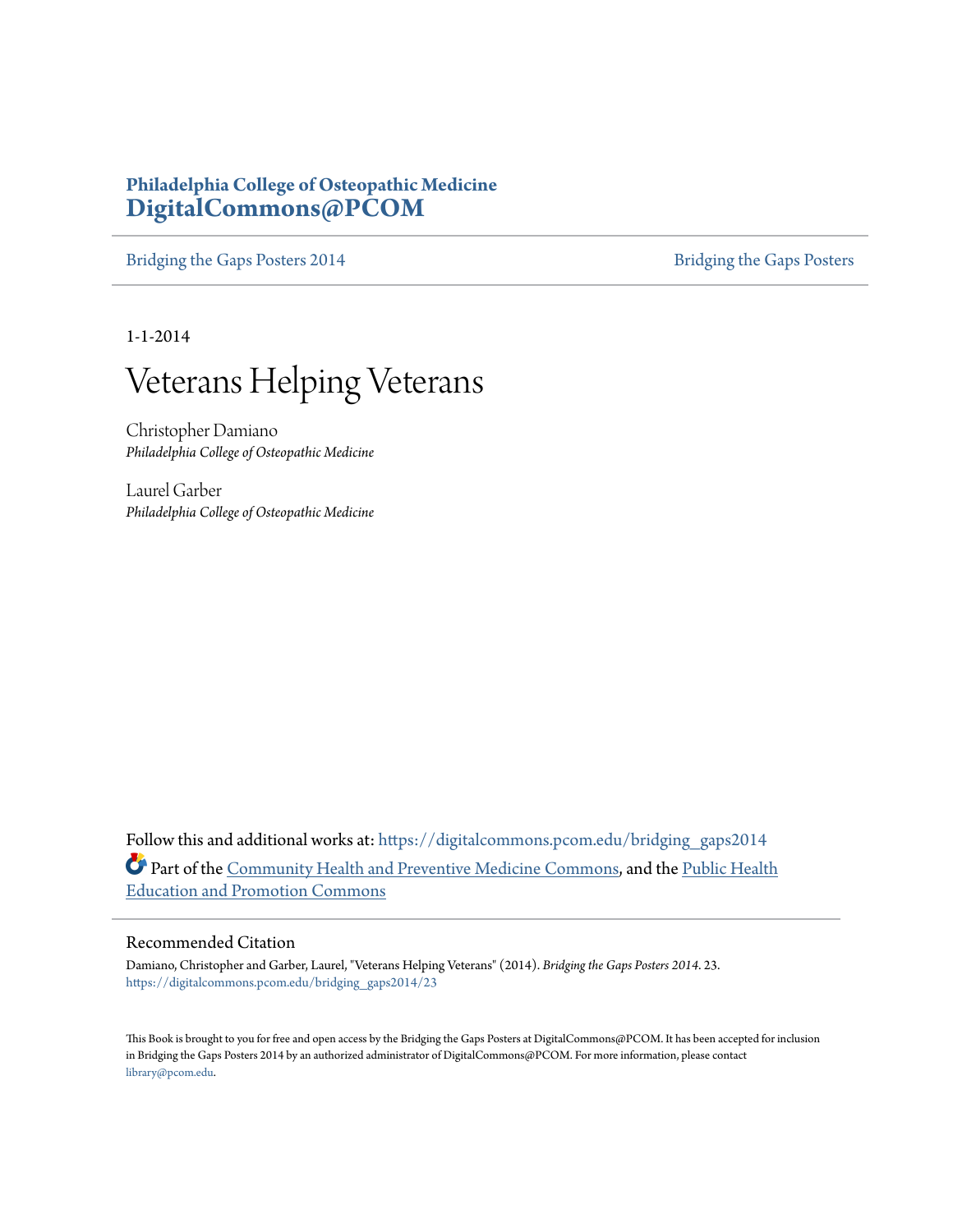#### **Philadelphia College of Osteopathic Medicine [DigitalCommons@PCOM](https://digitalcommons.pcom.edu?utm_source=digitalcommons.pcom.edu%2Fbridging_gaps2014%2F23&utm_medium=PDF&utm_campaign=PDFCoverPages)**

[Bridging the Gaps Posters 2014](https://digitalcommons.pcom.edu/bridging_gaps2014?utm_source=digitalcommons.pcom.edu%2Fbridging_gaps2014%2F23&utm_medium=PDF&utm_campaign=PDFCoverPages) [Bridging the Gaps Posters](https://digitalcommons.pcom.edu/bridging_gaps?utm_source=digitalcommons.pcom.edu%2Fbridging_gaps2014%2F23&utm_medium=PDF&utm_campaign=PDFCoverPages)

1-1-2014

#### Veterans Helping Veterans

Christopher Damiano *Philadelphia College of Osteopathic Medicine*

Laurel Garber *Philadelphia College of Osteopathic Medicine*

Follow this and additional works at: [https://digitalcommons.pcom.edu/bridging\\_gaps2014](https://digitalcommons.pcom.edu/bridging_gaps2014?utm_source=digitalcommons.pcom.edu%2Fbridging_gaps2014%2F23&utm_medium=PDF&utm_campaign=PDFCoverPages) Part of the [Community Health and Preventive Medicine Commons,](http://network.bepress.com/hgg/discipline/744?utm_source=digitalcommons.pcom.edu%2Fbridging_gaps2014%2F23&utm_medium=PDF&utm_campaign=PDFCoverPages) and the [Public Health](http://network.bepress.com/hgg/discipline/743?utm_source=digitalcommons.pcom.edu%2Fbridging_gaps2014%2F23&utm_medium=PDF&utm_campaign=PDFCoverPages) [Education and Promotion Commons](http://network.bepress.com/hgg/discipline/743?utm_source=digitalcommons.pcom.edu%2Fbridging_gaps2014%2F23&utm_medium=PDF&utm_campaign=PDFCoverPages)

#### Recommended Citation

Damiano, Christopher and Garber, Laurel, "Veterans Helping Veterans" (2014). *Bridging the Gaps Posters 2014*. 23. [https://digitalcommons.pcom.edu/bridging\\_gaps2014/23](https://digitalcommons.pcom.edu/bridging_gaps2014/23?utm_source=digitalcommons.pcom.edu%2Fbridging_gaps2014%2F23&utm_medium=PDF&utm_campaign=PDFCoverPages)

This Book is brought to you for free and open access by the Bridging the Gaps Posters at DigitalCommons@PCOM. It has been accepted for inclusion in Bridging the Gaps Posters 2014 by an authorized administrator of DigitalCommons@PCOM. For more information, please contact [library@pcom.edu](mailto:library@pcom.edu).